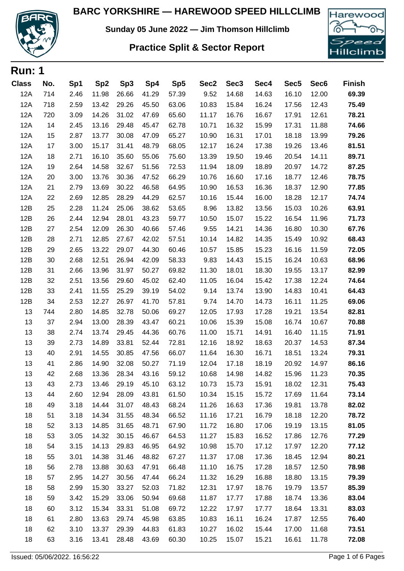

**Sunday 05 June 2022 — Jim Thomson Hillclimb**

## **Practice Split & Sector Report**



| <b>Run: 1</b> |     |      |                 |                 |       |                 |                  |                  |       |                  |                  |               |
|---------------|-----|------|-----------------|-----------------|-------|-----------------|------------------|------------------|-------|------------------|------------------|---------------|
| <b>Class</b>  | No. | Sp1  | Sp <sub>2</sub> | Sp <sub>3</sub> | Sp4   | Sp <sub>5</sub> | Sec <sub>2</sub> | Sec <sub>3</sub> | Sec4  | Sec <sub>5</sub> | Sec <sub>6</sub> | <b>Finish</b> |
| 12A           | 714 | 2.46 | 11.98           | 26.66           | 41.29 | 57.39           | 9.52             | 14.68            | 14.63 | 16.10            | 12.00            | 69.39         |
| 12A           | 718 | 2.59 | 13.42           | 29.26           | 45.50 | 63.06           | 10.83            | 15.84            | 16.24 | 17.56            | 12.43            | 75.49         |
| 12A           | 720 | 3.09 | 14.26           | 31.02           | 47.69 | 65.60           | 11.17            | 16.76            | 16.67 | 17.91            | 12.61            | 78.21         |
| 12A           | 14  | 2.45 | 13.16           | 29.48           | 45.47 | 62.78           | 10.71            | 16.32            | 15.99 | 17.31            | 11.88            | 74.66         |
| 12A           | 15  | 2.87 | 13.77           | 30.08           | 47.09 | 65.27           | 10.90            | 16.31            | 17.01 | 18.18            | 13.99            | 79.26         |
| 12A           | 17  | 3.00 | 15.17           | 31.41           | 48.79 | 68.05           | 12.17            | 16.24            | 17.38 | 19.26            | 13.46            | 81.51         |
| 12A           | 18  | 2.71 | 16.10           | 35.60           | 55.06 | 75.60           | 13.39            | 19.50            | 19.46 | 20.54            | 14.11            | 89.71         |
| 12A           | 19  | 2.64 | 14.58           | 32.67           | 51.56 | 72.53           | 11.94            | 18.09            | 18.89 | 20.97            | 14.72            | 87.25         |
| 12A           | 20  | 3.00 | 13.76           | 30.36           | 47.52 | 66.29           | 10.76            | 16.60            | 17.16 | 18.77            | 12.46            | 78.75         |
| 12A           | 21  | 2.79 | 13.69           | 30.22           | 46.58 | 64.95           | 10.90            | 16.53            | 16.36 | 18.37            | 12.90            | 77.85         |
| 12A           | 22  | 2.69 | 12.85           | 28.29           | 44.29 | 62.57           | 10.16            | 15.44            | 16.00 | 18.28            | 12.17            | 74.74         |
| 12B           | 25  | 2.28 | 11.24           | 25.06           | 38.62 | 53.65           | 8.96             | 13.82            | 13.56 | 15.03            | 10.26            | 63.91         |
| 12B           | 26  | 2.44 | 12.94           | 28.01           | 43.23 | 59.77           | 10.50            | 15.07            | 15.22 | 16.54            | 11.96            | 71.73         |
| 12B           | 27  | 2.54 | 12.09           | 26.30           | 40.66 | 57.46           | 9.55             | 14.21            | 14.36 | 16.80            | 10.30            | 67.76         |
| 12B           | 28  | 2.71 | 12.85           | 27.67           | 42.02 | 57.51           | 10.14            | 14.82            | 14.35 | 15.49            | 10.92            | 68.43         |
| 12B           | 29  | 2.65 | 13.22           | 29.07           | 44.30 | 60.46           | 10.57            | 15.85            | 15.23 | 16.16            | 11.59            | 72.05         |
| 12B           | 30  | 2.68 | 12.51           | 26.94           | 42.09 | 58.33           | 9.83             | 14.43            | 15.15 | 16.24            | 10.63            | 68.96         |
| 12B           | 31  | 2.66 | 13.96           | 31.97           | 50.27 | 69.82           | 11.30            | 18.01            | 18.30 | 19.55            | 13.17            | 82.99         |
| 12B           | 32  | 2.51 | 13.56           | 29.60           | 45.02 | 62.40           | 11.05            | 16.04            | 15.42 | 17.38            | 12.24            | 74.64         |
| 12B           | 33  | 2.41 | 11.55           | 25.29           | 39.19 | 54.02           | 9.14             | 13.74            | 13.90 | 14.83            | 10.41            | 64.43         |
| 12B           | 34  | 2.53 | 12.27           | 26.97           | 41.70 | 57.81           | 9.74             | 14.70            | 14.73 | 16.11            | 11.25            | 69.06         |
| 13            | 744 | 2.80 | 14.85           | 32.78           | 50.06 | 69.27           | 12.05            | 17.93            | 17.28 | 19.21            | 13.54            | 82.81         |
| 13            | 37  | 2.94 | 13.00           | 28.39           | 43.47 | 60.21           | 10.06            | 15.39            | 15.08 | 16.74            | 10.67            | 70.88         |
| 13            | 38  | 2.74 | 13.74           | 29.45           | 44.36 | 60.76           | 11.00            | 15.71            | 14.91 | 16.40            | 11.15            | 71.91         |
| 13            | 39  | 2.73 | 14.89           | 33.81           | 52.44 | 72.81           | 12.16            | 18.92            | 18.63 | 20.37            | 14.53            | 87.34         |
| 13            | 40  | 2.91 | 14.55           | 30.85           | 47.56 | 66.07           | 11.64            | 16.30            | 16.71 | 18.51            | 13.24            | 79.31         |
| 13            | 41  | 2.86 | 14.90           | 32.08           | 50.27 | 71.19           | 12.04            | 17.18            | 18.19 | 20.92            | 14.97            | 86.16         |
| 13            | 42  | 2.68 | 13.36           | 28.34           | 43.16 | 59.12           | 10.68            | 14.98            | 14.82 | 15.96            | 11.23            | 70.35         |
| 13            | 43  | 2.73 | 13.46           | 29.19           | 45.10 | 63.12           | 10.73            | 15.73            | 15.91 | 18.02            | 12.31            | 75.43         |
| 13            | 44  | 2.60 | 12.94           | 28.09           | 43.81 | 61.50           | 10.34            | 15.15            | 15.72 | 17.69            | 11.64            | 73.14         |
| 18            | 49  | 3.18 | 14.44           | 31.07           | 48.43 | 68.24           | 11.26            | 16.63            | 17.36 | 19.81            | 13.78            | 82.02         |
| 18            | 51  | 3.18 | 14.34           | 31.55           | 48.34 | 66.52           | 11.16            | 17.21            | 16.79 | 18.18            | 12.20            | 78.72         |
| 18            | 52  | 3.13 | 14.85           | 31.65           | 48.71 | 67.90           | 11.72            | 16.80            | 17.06 | 19.19            | 13.15            | 81.05         |
| 18            | 53  | 3.05 | 14.32           | 30.15           | 46.67 | 64.53           | 11.27            | 15.83            | 16.52 | 17.86            | 12.76            | 77.29         |
| 18            | 54  | 3.15 | 14.13           | 29.83           | 46.95 | 64.92           | 10.98            | 15.70            | 17.12 | 17.97            | 12.20            | 77.12         |
| 18            | 55  | 3.01 | 14.38           | 31.46           | 48.82 | 67.27           | 11.37            | 17.08            | 17.36 | 18.45            | 12.94            | 80.21         |
| 18            | 56  | 2.78 | 13.88           | 30.63           | 47.91 | 66.48           | 11.10            | 16.75            | 17.28 | 18.57            | 12.50            | 78.98         |
| 18            | 57  | 2.95 | 14.27           | 30.56           | 47.44 | 66.24           | 11.32            | 16.29            | 16.88 | 18.80            | 13.15            | 79.39         |
| 18            | 58  | 2.99 | 15.30           | 33.27           | 52.03 | 71.82           | 12.31            | 17.97            | 18.76 | 19.79            | 13.57            | 85.39         |
| 18            | 59  | 3.42 | 15.29           | 33.06           | 50.94 | 69.68           | 11.87            | 17.77            | 17.88 | 18.74            | 13.36            | 83.04         |
| 18            | 60  | 3.12 | 15.34           | 33.31           | 51.08 | 69.72           | 12.22            | 17.97            | 17.77 | 18.64            | 13.31            | 83.03         |
| 18            | 61  | 2.80 | 13.63           | 29.74           | 45.98 | 63.85           | 10.83            | 16.11            | 16.24 | 17.87            | 12.55            | 76.40         |
| 18            | 62  | 3.10 | 13.37           | 29.39           | 44.83 | 61.83           | 10.27            | 16.02            | 15.44 | 17.00            | 11.68            | 73.51         |
| 18            | 63  | 3.16 | 13.41           | 28.48           | 43.69 | 60.30           | 10.25            | 15.07            | 15.21 | 16.61            | 11.78            | 72.08         |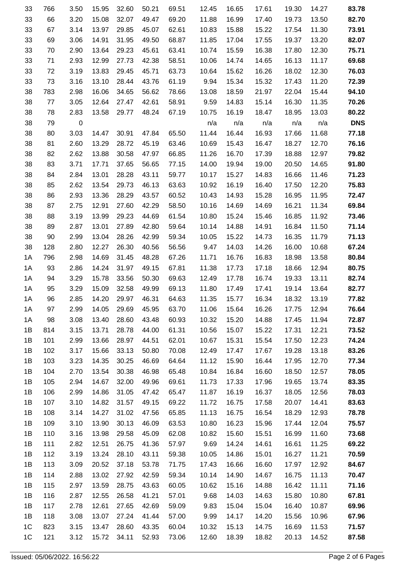| 33             | 766 | 3.50        | 15.95 | 32.60 | 50.21 | 69.51 | 12.45 | 16.65 | 17.61 | 19.30 | 14.27 | 83.78      |
|----------------|-----|-------------|-------|-------|-------|-------|-------|-------|-------|-------|-------|------------|
| 33             | 66  | 3.20        | 15.08 | 32.07 | 49.47 | 69.20 | 11.88 | 16.99 | 17.40 | 19.73 | 13.50 | 82.70      |
| 33             | 67  | 3.14        | 13.97 | 29.85 | 45.07 | 62.61 | 10.83 | 15.88 | 15.22 | 17.54 | 11.30 | 73.91      |
| 33             | 69  | 3.06        | 14.91 | 31.95 | 49.50 | 68.87 | 11.85 | 17.04 | 17.55 | 19.37 | 13.20 | 82.07      |
| 33             | 70  | 2.90        | 13.64 | 29.23 | 45.61 | 63.41 | 10.74 | 15.59 | 16.38 | 17.80 | 12.30 | 75.71      |
| 33             | 71  | 2.93        | 12.99 | 27.73 | 42.38 | 58.51 | 10.06 | 14.74 | 14.65 | 16.13 | 11.17 | 69.68      |
| 33             | 72  | 3.19        | 13.83 | 29.45 | 45.71 | 63.73 | 10.64 | 15.62 | 16.26 | 18.02 | 12.30 | 76.03      |
| 33             | 73  | 3.16        | 13.10 | 28.44 | 43.76 | 61.19 | 9.94  | 15.34 | 15.32 | 17.43 | 11.20 | 72.39      |
| 38             | 783 | 2.98        | 16.06 | 34.65 | 56.62 | 78.66 | 13.08 | 18.59 | 21.97 | 22.04 | 15.44 | 94.10      |
| 38             | 77  | 3.05        | 12.64 | 27.47 | 42.61 | 58.91 | 9.59  | 14.83 | 15.14 | 16.30 | 11.35 | 70.26      |
| 38             | 78  | 2.83        | 13.58 | 29.77 | 48.24 | 67.19 | 10.75 | 16.19 | 18.47 | 18.95 | 13.03 | 80.22      |
| 38             | 79  | $\mathbf 0$ |       |       |       |       | n/a   | n/a   | n/a   | n/a   | n/a   | <b>DNS</b> |
| 38             | 80  | 3.03        | 14.47 | 30.91 | 47.84 | 65.50 | 11.44 | 16.44 | 16.93 | 17.66 | 11.68 | 77.18      |
| 38             | 81  | 2.60        | 13.29 | 28.72 | 45.19 | 63.46 | 10.69 | 15.43 | 16.47 | 18.27 | 12.70 | 76.16      |
| 38             | 82  | 2.62        | 13.88 | 30.58 | 47.97 | 66.85 | 11.26 | 16.70 | 17.39 | 18.88 | 12.97 | 79.82      |
| 38             | 83  | 3.71        | 17.71 | 37.65 | 56.65 | 77.15 | 14.00 | 19.94 | 19.00 | 20.50 | 14.65 | 91.80      |
| 38             | 84  | 2.84        | 13.01 | 28.28 | 43.11 | 59.77 | 10.17 | 15.27 | 14.83 | 16.66 | 11.46 | 71.23      |
| 38             | 85  | 2.62        | 13.54 | 29.73 | 46.13 | 63.63 | 10.92 | 16.19 | 16.40 | 17.50 | 12.20 | 75.83      |
| 38             | 86  | 2.93        | 13.36 | 28.29 | 43.57 | 60.52 | 10.43 | 14.93 | 15.28 | 16.95 | 11.95 | 72.47      |
| 38             | 87  | 2.75        | 12.91 | 27.60 | 42.29 | 58.50 | 10.16 | 14.69 | 14.69 | 16.21 | 11.34 | 69.84      |
| 38             | 88  | 3.19        | 13.99 | 29.23 | 44.69 | 61.54 | 10.80 | 15.24 | 15.46 | 16.85 | 11.92 | 73.46      |
| 38             | 89  | 2.87        | 13.01 | 27.89 | 42.80 | 59.64 | 10.14 | 14.88 | 14.91 | 16.84 | 11.50 | 71.14      |
| 38             | 90  | 2.99        | 13.04 | 28.26 | 42.99 | 59.34 | 10.05 | 15.22 | 14.73 | 16.35 | 11.79 | 71.13      |
| 38             | 128 | 2.80        | 12.27 | 26.30 | 40.56 | 56.56 | 9.47  | 14.03 | 14.26 | 16.00 | 10.68 | 67.24      |
| 1A             | 796 | 2.98        | 14.69 | 31.45 | 48.28 | 67.26 | 11.71 | 16.76 | 16.83 | 18.98 | 13.58 | 80.84      |
| 1A             | 93  | 2.86        | 14.24 | 31.97 | 49.15 | 67.81 | 11.38 | 17.73 | 17.18 | 18.66 | 12.94 | 80.75      |
| 1A             | 94  | 3.29        | 15.78 | 33.56 | 50.30 | 69.63 | 12.49 | 17.78 | 16.74 | 19.33 | 13.11 | 82.74      |
| 1A             | 95  | 3.29        | 15.09 | 32.58 | 49.99 | 69.13 | 11.80 | 17.49 | 17.41 | 19.14 | 13.64 | 82.77      |
| 1A             | 96  | 2.85        | 14.20 | 29.97 | 46.31 | 64.63 | 11.35 | 15.77 | 16.34 | 18.32 | 13.19 | 77.82      |
| 1A             | 97  | 2.99        | 14.05 | 29.69 | 45.95 | 63.70 | 11.06 | 15.64 | 16.26 | 17.75 | 12.94 | 76.64      |
| 1A             | 98  | 3.08        | 13.40 | 28.60 | 43.48 | 60.93 | 10.32 | 15.20 | 14.88 | 17.45 | 11.94 | 72.87      |
| 1B             | 814 | 3.15        | 13.71 | 28.78 | 44.00 | 61.31 | 10.56 | 15.07 | 15.22 | 17.31 | 12.21 | 73.52      |
| 1B             | 101 | 2.99        | 13.66 | 28.97 | 44.51 | 62.01 | 10.67 | 15.31 | 15.54 | 17.50 | 12.23 | 74.24      |
| 1B             | 102 | 3.17        | 15.66 | 33.13 | 50.80 | 70.08 | 12.49 | 17.47 | 17.67 | 19.28 | 13.18 | 83.26      |
| 1B             | 103 | 3.23        | 14.35 | 30.25 | 46.69 | 64.64 | 11.12 | 15.90 | 16.44 | 17.95 | 12.70 | 77.34      |
| 1B             | 104 | 2.70        | 13.54 | 30.38 | 46.98 | 65.48 | 10.84 | 16.84 | 16.60 | 18.50 | 12.57 | 78.05      |
| 1B             | 105 | 2.94        | 14.67 | 32.00 | 49.96 | 69.61 | 11.73 | 17.33 | 17.96 | 19.65 | 13.74 | 83.35      |
| 1B             | 106 | 2.99        | 14.86 | 31.05 | 47.42 | 65.47 | 11.87 | 16.19 | 16.37 | 18.05 | 12.56 | 78.03      |
| 1B             | 107 | 3.10        | 14.82 | 31.57 | 49.15 | 69.22 | 11.72 | 16.75 | 17.58 | 20.07 | 14.41 | 83.63      |
| 1B             | 108 | 3.14        | 14.27 | 31.02 | 47.56 | 65.85 | 11.13 | 16.75 | 16.54 | 18.29 | 12.93 | 78.78      |
| 1B             | 109 | 3.10        | 13.90 | 30.13 | 46.09 | 63.53 | 10.80 | 16.23 | 15.96 | 17.44 | 12.04 | 75.57      |
| 1B             | 110 | 3.16        | 13.98 | 29.58 | 45.09 | 62.08 | 10.82 | 15.60 | 15.51 | 16.99 | 11.60 | 73.68      |
| 1B             | 111 | 2.82        | 12.51 | 26.75 | 41.36 | 57.97 | 9.69  | 14.24 | 14.61 | 16.61 | 11.25 | 69.22      |
| 1B             | 112 | 3.19        | 13.24 | 28.10 | 43.11 | 59.38 | 10.05 | 14.86 | 15.01 | 16.27 | 11.21 | 70.59      |
| 1B             | 113 | 3.09        | 20.52 | 37.18 | 53.78 | 71.75 | 17.43 | 16.66 | 16.60 | 17.97 | 12.92 | 84.67      |
| 1B             | 114 | 2.88        | 13.02 | 27.92 | 42.59 | 59.34 | 10.14 | 14.90 | 14.67 | 16.75 | 11.13 | 70.47      |
| 1B             | 115 | 2.97        | 13.59 | 28.75 | 43.63 | 60.05 | 10.62 | 15.16 | 14.88 | 16.42 | 11.11 | 71.16      |
| 1B             | 116 | 2.87        | 12.55 | 26.58 | 41.21 | 57.01 | 9.68  | 14.03 | 14.63 | 15.80 | 10.80 | 67.81      |
| 1B             | 117 | 2.78        | 12.61 | 27.65 | 42.69 | 59.09 | 9.83  | 15.04 | 15.04 | 16.40 | 10.87 | 69.96      |
| 1B             | 118 | 3.08        | 13.07 | 27.24 | 41.44 | 57.00 | 9.99  | 14.17 | 14.20 | 15.56 | 10.96 | 67.96      |
| 1 <sup>C</sup> | 823 | 3.15        | 13.47 | 28.60 | 43.35 | 60.04 | 10.32 | 15.13 | 14.75 | 16.69 | 11.53 | 71.57      |
| 1 <sup>C</sup> | 121 | 3.12        | 15.72 | 34.11 | 52.93 | 73.06 | 12.60 | 18.39 | 18.82 | 20.13 | 14.52 | 87.58      |
|                |     |             |       |       |       |       |       |       |       |       |       |            |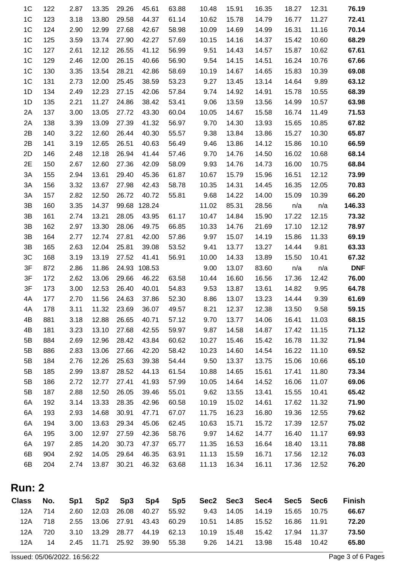| 1 <sup>C</sup> | 122        | 2.87         | 13.35          | 29.26          | 45.61          | 63.88          | 10.48        | 15.91          | 16.35          | 18.27          | 12.31          | 76.19          |
|----------------|------------|--------------|----------------|----------------|----------------|----------------|--------------|----------------|----------------|----------------|----------------|----------------|
| 1 <sup>C</sup> | 123        | 3.18         | 13.80          | 29.58          | 44.37          | 61.14          | 10.62        | 15.78          | 14.79          | 16.77          | 11.27          | 72.41          |
| 1 <sup>C</sup> | 124        | 2.90         | 12.99          | 27.68          | 42.67          | 58.98          | 10.09        | 14.69          | 14.99          | 16.31          | 11.16          | 70.14          |
| 1 <sup>C</sup> | 125        | 3.59         | 13.74          | 27.90          | 42.27          | 57.69          | 10.15        | 14.16          | 14.37          | 15.42          | 10.60          | 68.29          |
| 1C             | 127        | 2.61         | 12.12          | 26.55          | 41.12          | 56.99          | 9.51         | 14.43          | 14.57          | 15.87          | 10.62          | 67.61          |
| 1 <sup>C</sup> | 129        | 2.46         | 12.00          | 26.15          | 40.66          | 56.90          | 9.54         | 14.15          | 14.51          | 16.24          | 10.76          | 67.66          |
| 1 <sup>C</sup> | 130        | 3.35         | 13.54          | 28.21          | 42.86          | 58.69          | 10.19        | 14.67          | 14.65          | 15.83          | 10.39          | 69.08          |
| 1 <sup>C</sup> | 131        | 2.73         | 12.00          | 25.45          | 38.59          | 53.23          | 9.27         | 13.45          | 13.14          | 14.64          | 9.89           | 63.12          |
| 1D             | 134        | 2.49         | 12.23          | 27.15          | 42.06          | 57.84          | 9.74         | 14.92          | 14.91          | 15.78          | 10.55          | 68.39          |
| 1D             | 135        | 2.21         | 11.27          | 24.86          | 38.42          | 53.41          | 9.06         | 13.59          | 13.56          | 14.99          | 10.57          | 63.98          |
| 2A             | 137        | 3.00         | 13.05          | 27.72          | 43.30          | 60.04          | 10.05        | 14.67          | 15.58          | 16.74          | 11.49          | 71.53          |
| 2A             | 138        | 3.39         | 13.09          | 27.39          | 41.32          | 56.97          | 9.70         | 14.30          | 13.93          | 15.65          | 10.85          | 67.82          |
| 2B             | 140        | 3.22         | 12.60          | 26.44          | 40.30          | 55.57          | 9.38         | 13.84          | 13.86          | 15.27          | 10.30          | 65.87          |
| 2B             | 141        | 3.19         | 12.65          | 26.51          | 40.63          | 56.49          | 9.46         | 13.86          | 14.12          | 15.86          | 10.10          | 66.59          |
| 2D             | 146        | 2.48         | 12.18          | 26.94          | 41.44          | 57.46          | 9.70         | 14.76          | 14.50          | 16.02          | 10.68          | 68.14          |
| 2E             | 150        | 2.67         | 12.60          | 27.36          | 42.09          | 58.09          | 9.93         | 14.76          | 14.73          | 16.00          | 10.75          | 68.84          |
| 3A             | 155        | 2.94         | 13.61          | 29.40          | 45.36          | 61.87          | 10.67        | 15.79          | 15.96          | 16.51          | 12.12          | 73.99          |
| 3A             | 156        | 3.32         | 13.67          | 27.98          | 42.43          | 58.78          | 10.35        | 14.31          | 14.45          | 16.35          | 12.05          | 70.83          |
| 3A             | 157        | 2.82         | 12.50          | 26.72          | 40.72          | 55.81          | 9.68         | 14.22          | 14.00          | 15.09          | 10.39          | 66.20          |
| 3B             | 160        | 3.35         | 14.37          | 99.68          | 128.24         |                | 11.02        | 85.31          | 28.56          | n/a            | n/a            | 146.33         |
| 3B             | 161        | 2.74         | 13.21          | 28.05          | 43.95          | 61.17          | 10.47        | 14.84          | 15.90          | 17.22          | 12.15          | 73.32          |
| 3B             | 162        | 2.97         | 13.30          | 28.06          | 49.75          | 66.85          | 10.33        | 14.76          | 21.69          | 17.10          | 12.12          | 78.97          |
| 3B             | 164        | 2.77         | 12.74          | 27.81          | 42.00          | 57.86          | 9.97         | 15.07          | 14.19          | 15.86          | 11.33          | 69.19          |
| 3B             | 165        | 2.63         | 12.04          | 25.81          | 39.08          | 53.52          | 9.41         | 13.77          | 13.27          | 14.44          | 9.81           | 63.33          |
| 3C             | 168        | 3.19         | 13.19          | 27.52          | 41.41          | 56.91          | 10.00        | 14.33          | 13.89          | 15.50          | 10.41          | 67.32          |
| 3F             | 872        | 2.86         | 11.86          | 24.93          | 108.53         |                | 9.00         | 13.07          | 83.60          | n/a            | n/a            | <b>DNF</b>     |
| 3F             | 172        | 2.62         | 13.06          | 29.66          | 46.22          | 63.58          | 10.44        | 16.60          | 16.56          | 17.36          | 12.42          | 76.00          |
| 3F             | 173        | 3.00         | 12.53          | 26.40          | 40.01          | 54.83          | 9.53         | 13.87          | 13.61          | 14.82          | 9.95           | 64.78          |
| 4A             | 177        | 2.70         | 11.56<br>11.32 | 24.63<br>23.69 | 37.86          | 52.30          | 8.86         | 13.07<br>12.37 | 13.23<br>12.38 | 14.44          | 9.39           | 61.69<br>59.15 |
| 4A             | 178<br>881 | 3.11         | 12.88          | 26.65          | 36.07<br>40.71 | 49.57<br>57.12 | 8.21<br>9.70 |                | 14.06          | 13.50          | 9.58           |                |
| 4B<br>4B       | 181        | 3.18<br>3.23 | 13.10          | 27.68          | 42.55          |                | 9.87         | 13.77<br>14.58 | 14.87          | 16.41          | 11.03          | 68.15<br>71.12 |
| 5B             | 884        | 2.69         | 12.96          | 28.42          | 43.84          | 59.97<br>60.62 | 10.27        | 15.46          | 15.42          | 17.42<br>16.78 | 11.15<br>11.32 | 71.94          |
| 5B             | 886        | 2.83         | 13.06          | 27.66          | 42.20          | 58.42          | 10.23        | 14.60          | 14.54          | 16.22          | 11.10          | 69.52          |
| 5B             | 184        | 2.76         | 12.26          | 25.63          | 39.38          | 54.44          | 9.50         | 13.37          | 13.75          | 15.06          | 10.66          | 65.10          |
| 5B             | 185        | 2.99         | 13.87          | 28.52          | 44.13          | 61.54          | 10.88        | 14.65          | 15.61          | 17.41          | 11.80          | 73.34          |
| 5B             | 186        | 2.72         | 12.77          | 27.41          | 41.93          | 57.99          | 10.05        | 14.64          | 14.52          | 16.06          | 11.07          | 69.06          |
| 5B             | 187        | 2.88         | 12.50          | 26.05          | 39.46          | 55.01          | 9.62         | 13.55          | 13.41          | 15.55          | 10.41          | 65.42          |
| 6A             | 192        | 3.14         | 13.33          | 28.35          | 42.96          | 60.58          | 10.19        | 15.02          | 14.61          | 17.62          | 11.32          | 71.90          |
| 6A             | 193        | 2.93         | 14.68          | 30.91          | 47.71          | 67.07          | 11.75        | 16.23          | 16.80          | 19.36          | 12.55          | 79.62          |
| 6A             | 194        | 3.00         | 13.63          | 29.34          | 45.06          | 62.45          | 10.63        | 15.71          | 15.72          | 17.39          | 12.57          | 75.02          |
| 6A             | 195        | 3.00         | 12.97          | 27.59          | 42.36          | 58.76          | 9.97         | 14.62          | 14.77          | 16.40          | 11.17          | 69.93          |
| 6A             | 197        | 2.85         | 14.20          | 30.73          | 47.37          | 65.77          | 11.35        | 16.53          | 16.64          | 18.40          | 13.11          | 78.88          |
| 6B             | 904        | 2.92         | 14.05          | 29.64          | 46.35          | 63.91          | 11.13        | 15.59          | 16.71          | 17.56          | 12.12          | 76.03          |
| 6B             | 204        | 2.74         | 13.87          | 30.21          | 46.32          | 63.68          | 11.13        | 16.34          | 16.11          | 17.36          | 12.52          | 76.20          |
| <b>Run: 2</b>  |            |              |                |                |                |                |              |                |                |                |                |                |

| Class | No.  |  |                              |       | Sp1 Sp2 Sp3 Sp4 Sp5 Sec2 Sec3 Sec4 Sec5 Sec6 |            |                                   |             |             | Finish |  |
|-------|------|--|------------------------------|-------|----------------------------------------------|------------|-----------------------------------|-------------|-------------|--------|--|
| 12A   | 714  |  | 2.60 12.03 26.08 40.27 55.92 |       | 9.43 14.05  14.19                            |            |                                   |             | 15.65 10.75 | 66.67  |  |
| 12A   | -718 |  | 2.55 13.06 27.91 43.43 60.29 |       | 10.51  14.85  15.52                          |            |                                   | 16.86 11.91 |             | 72.20  |  |
| 12A   | 720. |  |                              |       |                                              |            | 10.19  15.48  15.42  17.94  11.37 |             |             | 73.50  |  |
| 12A   | 14   |  |                              | 55.38 |                                              | 9.26 14.21 | 13.98                             |             | 15.48 10.42 | 65.80  |  |
|       |      |  |                              |       |                                              |            |                                   |             |             |        |  |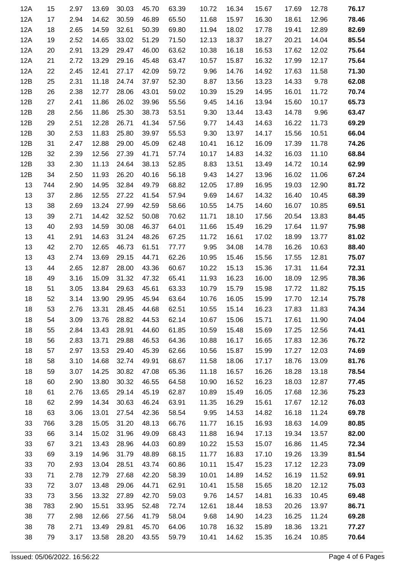| 12A | 15  | 2.97 | 13.69 | 30.03 | 45.70 | 63.39 | 10.72 | 16.34 | 15.67 | 17.69 | 12.78 | 76.17 |
|-----|-----|------|-------|-------|-------|-------|-------|-------|-------|-------|-------|-------|
| 12A | 17  | 2.94 | 14.62 | 30.59 | 46.89 | 65.50 | 11.68 | 15.97 | 16.30 | 18.61 | 12.96 | 78.46 |
| 12A | 18  | 2.65 | 14.59 | 32.61 | 50.39 | 69.80 | 11.94 | 18.02 | 17.78 | 19.41 | 12.89 | 82.69 |
| 12A | 19  | 2.52 | 14.65 | 33.02 | 51.29 | 71.50 | 12.13 | 18.37 | 18.27 | 20.21 | 14.04 | 85.54 |
| 12A | 20  | 2.91 | 13.29 | 29.47 | 46.00 | 63.62 | 10.38 | 16.18 | 16.53 | 17.62 | 12.02 | 75.64 |
| 12A | 21  | 2.72 | 13.29 | 29.16 | 45.48 | 63.47 | 10.57 | 15.87 | 16.32 | 17.99 | 12.17 | 75.64 |
| 12A | 22  | 2.45 | 12.41 | 27.17 | 42.09 | 59.72 | 9.96  | 14.76 | 14.92 | 17.63 | 11.58 | 71.30 |
| 12B | 25  | 2.31 | 11.18 | 24.74 | 37.97 | 52.30 | 8.87  | 13.56 | 13.23 | 14.33 | 9.78  | 62.08 |
| 12B | 26  | 2.38 | 12.77 | 28.06 | 43.01 | 59.02 | 10.39 | 15.29 | 14.95 | 16.01 | 11.72 | 70.74 |
| 12B | 27  | 2.41 | 11.86 | 26.02 | 39.96 | 55.56 | 9.45  | 14.16 | 13.94 | 15.60 | 10.17 | 65.73 |
| 12B | 28  | 2.56 | 11.86 | 25.30 | 38.73 | 53.51 | 9.30  | 13.44 | 13.43 | 14.78 | 9.96  | 63.47 |
| 12B | 29  | 2.51 | 12.28 | 26.71 | 41.34 | 57.56 | 9.77  | 14.43 | 14.63 | 16.22 | 11.73 | 69.29 |
| 12B | 30  | 2.53 | 11.83 | 25.80 | 39.97 | 55.53 | 9.30  | 13.97 | 14.17 | 15.56 | 10.51 | 66.04 |
| 12B | 31  | 2.47 | 12.88 | 29.00 | 45.09 | 62.48 | 10.41 | 16.12 | 16.09 | 17.39 | 11.78 | 74.26 |
| 12B | 32  | 2.39 | 12.56 | 27.39 | 41.71 | 57.74 | 10.17 | 14.83 | 14.32 | 16.03 | 11.10 | 68.84 |
| 12B | 33  | 2.30 | 11.13 | 24.64 | 38.13 | 52.85 | 8.83  | 13.51 | 13.49 | 14.72 | 10.14 | 62.99 |
| 12B | 34  | 2.50 | 11.93 | 26.20 | 40.16 | 56.18 | 9.43  | 14.27 | 13.96 | 16.02 | 11.06 | 67.24 |
| 13  | 744 | 2.90 | 14.95 | 32.84 | 49.79 | 68.82 | 12.05 | 17.89 | 16.95 | 19.03 | 12.90 | 81.72 |
| 13  | 37  | 2.86 | 12.55 | 27.22 | 41.54 | 57.94 | 9.69  | 14.67 | 14.32 | 16.40 | 10.45 | 68.39 |
| 13  | 38  | 2.69 | 13.24 | 27.99 | 42.59 | 58.66 | 10.55 | 14.75 | 14.60 | 16.07 | 10.85 | 69.51 |
| 13  | 39  | 2.71 | 14.42 | 32.52 | 50.08 | 70.62 | 11.71 | 18.10 | 17.56 | 20.54 | 13.83 | 84.45 |
| 13  | 40  | 2.93 | 14.59 | 30.08 | 46.37 | 64.01 | 11.66 | 15.49 | 16.29 | 17.64 | 11.97 | 75.98 |
| 13  | 41  | 2.91 | 14.63 | 31.24 | 48.26 | 67.25 | 11.72 | 16.61 | 17.02 | 18.99 | 13.77 | 81.02 |
| 13  | 42  | 2.70 | 12.65 | 46.73 | 61.51 | 77.77 | 9.95  | 34.08 | 14.78 | 16.26 | 10.63 | 88.40 |
| 13  | 43  | 2.74 | 13.69 | 29.15 | 44.71 | 62.26 | 10.95 | 15.46 | 15.56 | 17.55 | 12.81 | 75.07 |
| 13  | 44  | 2.65 | 12.87 | 28.00 | 43.36 | 60.67 | 10.22 | 15.13 | 15.36 | 17.31 | 11.64 | 72.31 |
| 18  | 49  | 3.16 | 15.09 | 31.32 | 47.32 | 65.41 | 11.93 | 16.23 | 16.00 | 18.09 | 12.95 | 78.36 |
| 18  | 51  | 3.05 | 13.84 | 29.63 | 45.61 | 63.33 | 10.79 | 15.79 | 15.98 | 17.72 | 11.82 | 75.15 |
| 18  | 52  | 3.14 | 13.90 | 29.95 | 45.94 | 63.64 | 10.76 | 16.05 | 15.99 | 17.70 | 12.14 | 75.78 |
| 18  | 53  | 2.76 | 13.31 | 28.45 | 44.68 | 62.51 | 10.55 | 15.14 | 16.23 | 17.83 | 11.83 | 74.34 |
| 18  | 54  | 3.09 | 13.76 | 28.82 | 44.53 | 62.14 | 10.67 | 15.06 | 15.71 | 17.61 | 11.90 | 74.04 |
| 18  | 55  | 2.84 | 13.43 | 28.91 | 44.60 | 61.85 | 10.59 | 15.48 | 15.69 | 17.25 | 12.56 | 74.41 |
| 18  | 56  | 2.83 | 13.71 | 29.88 | 46.53 | 64.36 | 10.88 | 16.17 | 16.65 | 17.83 | 12.36 | 76.72 |
| 18  | 57  | 2.97 | 13.53 | 29.40 | 45.39 | 62.66 | 10.56 | 15.87 | 15.99 | 17.27 | 12.03 | 74.69 |
| 18  | 58  | 3.10 | 14.68 | 32.74 | 49.91 | 68.67 | 11.58 | 18.06 | 17.17 | 18.76 | 13.09 | 81.76 |
| 18  | 59  | 3.07 | 14.25 | 30.82 | 47.08 | 65.36 | 11.18 | 16.57 | 16.26 | 18.28 | 13.18 | 78.54 |
| 18  | 60  | 2.90 | 13.80 | 30.32 | 46.55 | 64.58 | 10.90 | 16.52 | 16.23 | 18.03 | 12.87 | 77.45 |
| 18  | 61  | 2.76 | 13.65 | 29.14 | 45.19 | 62.87 | 10.89 | 15.49 | 16.05 | 17.68 | 12.36 | 75.23 |
| 18  | 62  | 2.99 | 14.34 | 30.63 | 46.24 | 63.91 | 11.35 | 16.29 | 15.61 | 17.67 | 12.12 | 76.03 |
| 18  | 63  | 3.06 | 13.01 | 27.54 | 42.36 | 58.54 | 9.95  | 14.53 | 14.82 | 16.18 | 11.24 | 69.78 |
| 33  | 766 | 3.28 | 15.05 | 31.20 | 48.13 | 66.76 | 11.77 | 16.15 | 16.93 | 18.63 | 14.09 | 80.85 |
| 33  | 66  | 3.14 | 15.02 | 31.96 | 49.09 | 68.43 | 11.88 | 16.94 | 17.13 | 19.34 | 13.57 | 82.00 |
| 33  | 67  | 3.21 | 13.43 | 28.96 | 44.03 | 60.89 | 10.22 | 15.53 | 15.07 | 16.86 | 11.45 | 72.34 |
| 33  | 69  | 3.19 | 14.96 | 31.79 | 48.89 | 68.15 | 11.77 | 16.83 | 17.10 | 19.26 | 13.39 | 81.54 |
| 33  | 70  | 2.93 | 13.04 | 28.51 | 43.74 | 60.86 | 10.11 | 15.47 | 15.23 | 17.12 | 12.23 | 73.09 |
| 33  | 71  | 2.78 | 12.79 | 27.68 | 42.20 | 58.39 | 10.01 | 14.89 | 14.52 | 16.19 | 11.52 | 69.91 |
| 33  | 72  | 3.07 | 13.48 | 29.06 | 44.71 | 62.91 | 10.41 | 15.58 | 15.65 | 18.20 | 12.12 | 75.03 |
| 33  | 73  | 3.56 | 13.32 | 27.89 | 42.70 | 59.03 | 9.76  | 14.57 | 14.81 | 16.33 | 10.45 | 69.48 |
| 38  | 783 | 2.90 | 15.51 | 33.95 | 52.48 | 72.74 | 12.61 | 18.44 | 18.53 | 20.26 | 13.97 | 86.71 |
| 38  | 77  | 2.98 | 12.66 | 27.56 | 41.79 | 58.04 | 9.68  | 14.90 | 14.23 | 16.25 | 11.24 | 69.28 |
| 38  | 78  | 2.71 | 13.49 | 29.81 | 45.70 | 64.06 | 10.78 | 16.32 | 15.89 | 18.36 | 13.21 | 77.27 |
| 38  | 79  | 3.17 | 13.58 | 28.20 | 43.55 | 59.79 | 10.41 | 14.62 | 15.35 | 16.24 | 10.85 | 70.64 |
|     |     |      |       |       |       |       |       |       |       |       |       |       |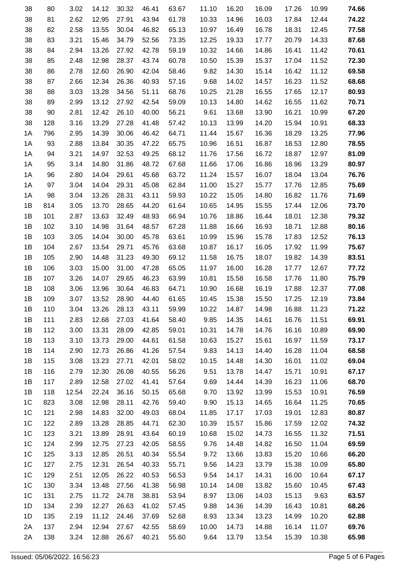| 38             | 80  | 3.02  | 14.12 | 30.32 | 46.41 | 63.67 | 11.10 | 16.20 | 16.09 | 17.26 | 10.99 | 74.66 |
|----------------|-----|-------|-------|-------|-------|-------|-------|-------|-------|-------|-------|-------|
| 38             | 81  | 2.62  | 12.95 | 27.91 | 43.94 | 61.78 | 10.33 | 14.96 | 16.03 | 17.84 | 12.44 | 74.22 |
| 38             | 82  | 2.58  | 13.55 | 30.04 | 46.82 | 65.13 | 10.97 | 16.49 | 16.78 | 18.31 | 12.45 | 77.58 |
| 38             | 83  | 3.21  | 15.46 | 34.79 | 52.56 | 73.35 | 12.25 | 19.33 | 17.77 | 20.79 | 14.33 | 87.68 |
| 38             | 84  | 2.94  | 13.26 | 27.92 | 42.78 | 59.19 | 10.32 | 14.66 | 14.86 | 16.41 | 11.42 | 70.61 |
| 38             | 85  | 2.48  | 12.98 | 28.37 | 43.74 | 60.78 | 10.50 | 15.39 | 15.37 | 17.04 | 11.52 | 72.30 |
| 38             | 86  | 2.78  | 12.60 | 26.90 | 42.04 | 58.46 | 9.82  | 14.30 | 15.14 | 16.42 | 11.12 | 69.58 |
| 38             | 87  | 2.66  | 12.34 | 26.36 | 40.93 | 57.16 | 9.68  | 14.02 | 14.57 | 16.23 | 11.52 | 68.68 |
| 38             | 88  | 3.03  | 13.28 | 34.56 | 51.11 | 68.76 | 10.25 | 21.28 | 16.55 | 17.65 | 12.17 | 80.93 |
| 38             | 89  | 2.99  | 13.12 | 27.92 | 42.54 | 59.09 | 10.13 | 14.80 | 14.62 | 16.55 | 11.62 | 70.71 |
| 38             | 90  | 2.81  | 12.42 | 26.10 | 40.00 | 56.21 | 9.61  | 13.68 | 13.90 | 16.21 | 10.99 | 67.20 |
| 38             | 128 | 3.16  | 13.29 | 27.28 | 41.48 | 57.42 | 10.13 | 13.99 | 14.20 | 15.94 | 10.91 | 68.33 |
| 1A             | 796 | 2.95  | 14.39 | 30.06 | 46.42 | 64.71 | 11.44 | 15.67 | 16.36 | 18.29 | 13.25 | 77.96 |
| 1A             | 93  | 2.88  | 13.84 | 30.35 | 47.22 | 65.75 | 10.96 | 16.51 | 16.87 | 18.53 | 12.80 | 78.55 |
| 1A             | 94  | 3.21  | 14.97 | 32.53 | 49.25 | 68.12 | 11.76 | 17.56 | 16.72 | 18.87 | 12.97 | 81.09 |
| 1A             | 95  | 3.14  | 14.80 | 31.86 | 48.72 | 67.68 | 11.66 | 17.06 | 16.86 | 18.96 | 13.29 | 80.97 |
| 1A             | 96  | 2.80  | 14.04 | 29.61 | 45.68 | 63.72 | 11.24 | 15.57 | 16.07 | 18.04 | 13.04 | 76.76 |
| 1A             | 97  | 3.04  | 14.04 | 29.31 | 45.08 | 62.84 | 11.00 | 15.27 | 15.77 | 17.76 | 12.85 | 75.69 |
| 1A             | 98  | 3.04  | 13.26 | 28.31 | 43.11 | 59.93 | 10.22 | 15.05 | 14.80 | 16.82 | 11.76 | 71.69 |
| 1B             | 814 | 3.05  | 13.70 | 28.65 | 44.20 | 61.64 | 10.65 | 14.95 | 15.55 | 17.44 | 12.06 | 73.70 |
| 1B             | 101 | 2.87  | 13.63 | 32.49 | 48.93 | 66.94 | 10.76 | 18.86 | 16.44 | 18.01 | 12.38 | 79.32 |
| 1B             | 102 | 3.10  | 14.98 | 31.64 | 48.57 | 67.28 | 11.88 | 16.66 | 16.93 | 18.71 | 12.88 | 80.16 |
| 1B             | 103 | 3.05  | 14.04 | 30.00 | 45.78 | 63.61 | 10.99 | 15.96 | 15.78 | 17.83 | 12.52 | 76.13 |
| 1B             | 104 | 2.67  | 13.54 | 29.71 | 45.76 | 63.68 | 10.87 | 16.17 | 16.05 | 17.92 | 11.99 | 75.67 |
| 1B             | 105 | 2.90  | 14.48 | 31.23 | 49.30 | 69.12 | 11.58 | 16.75 | 18.07 | 19.82 | 14.39 | 83.51 |
| 1B             | 106 | 3.03  | 15.00 | 31.00 | 47.28 | 65.05 | 11.97 | 16.00 | 16.28 | 17.77 | 12.67 | 77.72 |
| 1B             | 107 | 3.26  | 14.07 | 29.65 | 46.23 | 63.99 | 10.81 | 15.58 | 16.58 | 17.76 | 11.80 | 75.79 |
| 1B             | 108 | 3.06  | 13.96 | 30.64 | 46.83 | 64.71 | 10.90 | 16.68 | 16.19 | 17.88 | 12.37 | 77.08 |
| 1B             | 109 | 3.07  | 13.52 | 28.90 | 44.40 | 61.65 | 10.45 | 15.38 | 15.50 | 17.25 | 12.19 | 73.84 |
| 1B             | 110 | 3.04  | 13.26 | 28.13 | 43.11 | 59.99 | 10.22 | 14.87 | 14.98 | 16.88 | 11.23 | 71.22 |
| 1B             | 111 | 2.83  | 12.68 | 27.03 | 41.64 | 58.40 | 9.85  | 14.35 | 14.61 | 16.76 | 11.51 | 69.91 |
| 1B             | 112 | 3.00  | 13.31 | 28.09 | 42.85 | 59.01 | 10.31 | 14.78 | 14.76 | 16.16 | 10.89 | 69.90 |
| 1B             | 113 | 3.10  | 13.73 | 29.00 | 44.61 | 61.58 | 10.63 | 15.27 | 15.61 | 16.97 | 11.59 | 73.17 |
| 1B             | 114 | 2.90  | 12.73 | 26.86 | 41.26 | 57.54 | 9.83  | 14.13 | 14.40 | 16.28 | 11.04 | 68.58 |
| 1B             | 115 | 3.08  | 13.23 | 27.71 | 42.01 | 58.02 | 10.15 | 14.48 | 14.30 | 16.01 | 11.02 | 69.04 |
| 1B             | 116 | 2.79  | 12.30 | 26.08 | 40.55 | 56.26 | 9.51  | 13.78 | 14.47 | 15.71 | 10.91 | 67.17 |
| 1B             | 117 | 2.89  | 12.58 | 27.02 | 41.41 | 57.64 | 9.69  | 14.44 | 14.39 | 16.23 | 11.06 | 68.70 |
| 1B             | 118 | 12.54 | 22.24 | 36.16 | 50.15 | 65.68 | 9.70  | 13.92 | 13.99 | 15.53 | 10.91 | 76.59 |
| 1 <sup>C</sup> | 823 | 3.08  | 12.98 | 28.11 | 42.76 | 59.40 | 9.90  | 15.13 | 14.65 | 16.64 | 11.25 | 70.65 |
| 1 <sup>C</sup> | 121 | 2.98  | 14.83 | 32.00 | 49.03 | 68.04 | 11.85 | 17.17 | 17.03 | 19.01 | 12.83 | 80.87 |
| 1 <sup>C</sup> | 122 | 2.89  | 13.28 | 28.85 | 44.71 | 62.30 | 10.39 | 15.57 | 15.86 | 17.59 | 12.02 | 74.32 |
| 1 <sup>C</sup> | 123 | 3.21  | 13.89 | 28.91 | 43.64 | 60.19 | 10.68 | 15.02 | 14.73 | 16.55 | 11.32 | 71.51 |
| 1 <sup>C</sup> | 124 | 2.99  | 12.75 | 27.23 | 42.05 | 58.55 | 9.76  | 14.48 | 14.82 | 16.50 | 11.04 | 69.59 |
| 1 <sup>C</sup> | 125 | 3.13  | 12.85 | 26.51 | 40.34 | 55.54 | 9.72  | 13.66 | 13.83 | 15.20 | 10.66 | 66.20 |
| 1 <sup>C</sup> | 127 | 2.75  | 12.31 | 26.54 | 40.33 | 55.71 | 9.56  | 14.23 | 13.79 | 15.38 | 10.09 | 65.80 |
| 1 <sup>C</sup> | 129 | 2.51  | 12.05 | 26.22 | 40.53 | 56.53 | 9.54  | 14.17 | 14.31 | 16.00 | 10.64 | 67.17 |
| 1 <sup>C</sup> | 130 | 3.34  | 13.48 | 27.56 | 41.38 | 56.98 | 10.14 | 14.08 | 13.82 | 15.60 | 10.45 | 67.43 |
| 1 <sup>C</sup> | 131 | 2.75  | 11.72 | 24.78 | 38.81 | 53.94 | 8.97  | 13.06 | 14.03 | 15.13 | 9.63  | 63.57 |
| 1D             | 134 | 2.39  | 12.27 | 26.63 | 41.02 | 57.45 | 9.88  | 14.36 | 14.39 | 16.43 | 10.81 | 68.26 |
| 1D             | 135 | 2.19  | 11.12 | 24.46 | 37.69 | 52.68 | 8.93  | 13.34 | 13.23 | 14.99 | 10.20 | 62.88 |
| 2A             | 137 | 2.94  | 12.94 | 27.67 | 42.55 | 58.69 | 10.00 | 14.73 | 14.88 | 16.14 | 11.07 | 69.76 |
| 2A             | 138 | 3.24  | 12.88 | 26.67 | 40.21 | 55.60 | 9.64  | 13.79 | 13.54 | 15.39 | 10.38 | 65.98 |